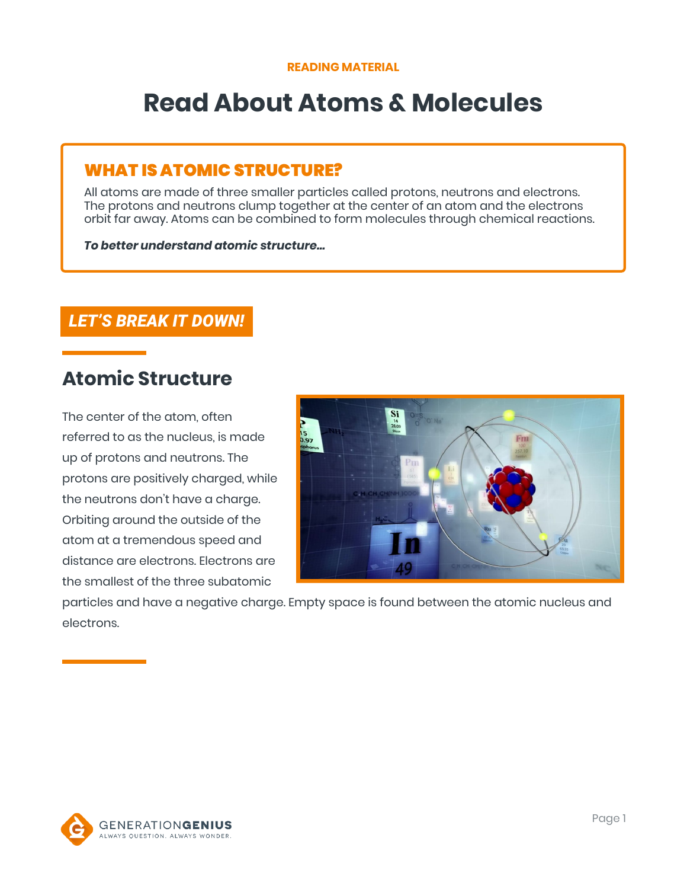# **Read About Atoms & Molecules**

### WHAT IS ATOMIC STRUCTURE?

All atoms are made of three smaller particles called protons, neutrons and electrons. The protons and neutrons clump together at the center of an atom and the electrons orbit far away. Atoms can be combined to form molecules through chemical reactions.

#### *To better understand atomic structure…*

### *LET'S BREAK IT DOWN!*

## **Atomic Structure**

The center of the atom, often referred to as the nucleus, is made up of protons and neutrons. The protons are positively charged, while the neutrons don't have a charge. Orbiting around the outside of the atom at a tremendous speed and distance are electrons. Electrons are the smallest of the three subatomic



particles and have a negative charge. Empty space is found between the atomic nucleus and electrons.

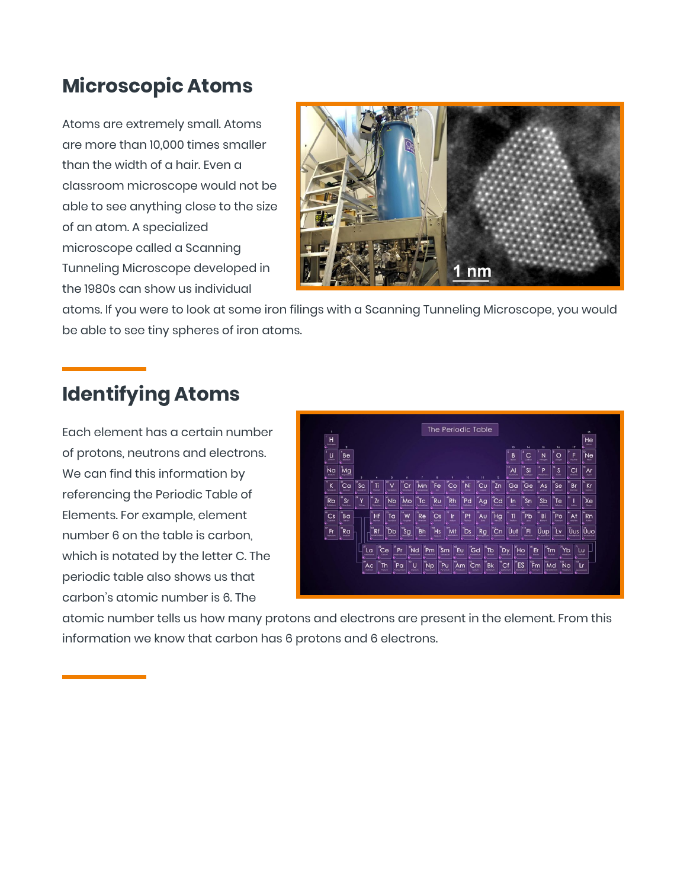## **Microscopic Atoms**

Atoms are extremely small. Atoms are more than 10,000 times smaller than the width of a hair. Even a classroom microscope would not be able to see anything close to the size of an atom. A specialized microscope called a Scanning Tunneling Microscope developed in the 1980s can show us individual



atoms. If you were to look at some iron filings with a Scanning Tunneling Microscope, you would be able to see tiny spheres of iron atoms.

## **Identifying Atoms**

Each element has a certain number of protons, neutrons and electrons. We can find this information by referencing the Periodic Table of Elements. For example, element number 6 on the table is carbon, which is notated by the letter C. The periodic table also shows us that carbon's atomic number is 6. The



atomic number tells us how many protons and electrons are present in the element. From this information we know that carbon has 6 protons and 6 electrons.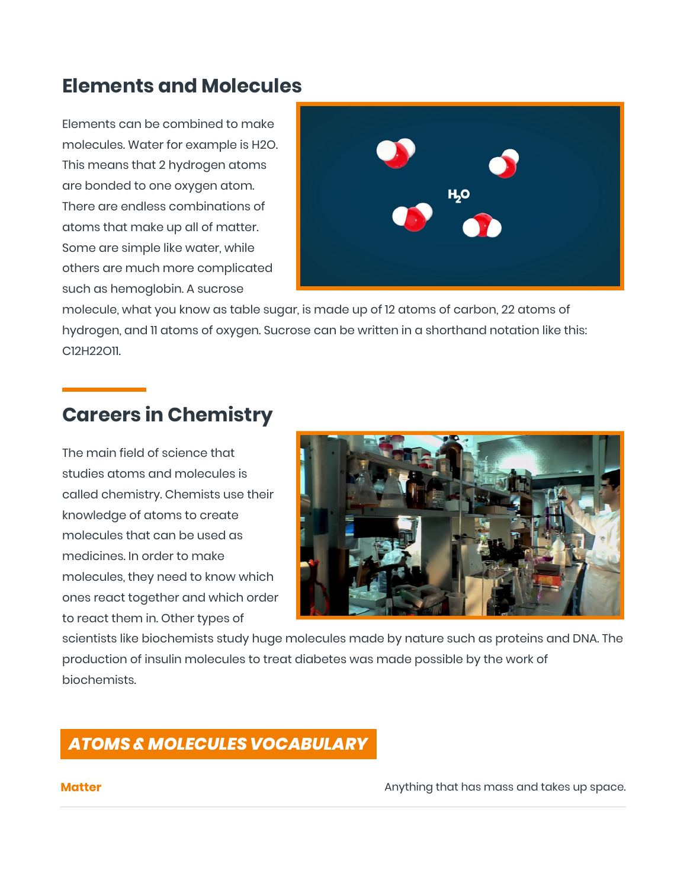## **Elements and Molecules**

Elements can be combined to make molecules. Water for example is H2O. This means that 2 hydrogen atoms are bonded to one oxygen atom. There are endless combinations of atoms that make up all of matter. Some are simple like water, while others are much more complicated such as hemoglobin. A sucrose



molecule, what you know as table sugar, is made up of 12 atoms of carbon, 22 atoms of hydrogen, and 11 atoms of oxygen. Sucrose can be written in a shorthand notation like this: C12H22O11.

## **Careers in Chemistry**

The main field of science that studies atoms and molecules is called chemistry. Chemists use their knowledge of atoms to create molecules that can be used as medicines. In order to make molecules, they need to know which ones react together and which order to react them in. Other types of



scientists like biochemists study huge molecules made by nature such as proteins and DNA. The production of insulin molecules to treat diabetes was made possible by the work of biochemists.

## *ATOMS & MOLECULES VOCABULARY*

**Matter Matter** Anything that has mass and takes up space.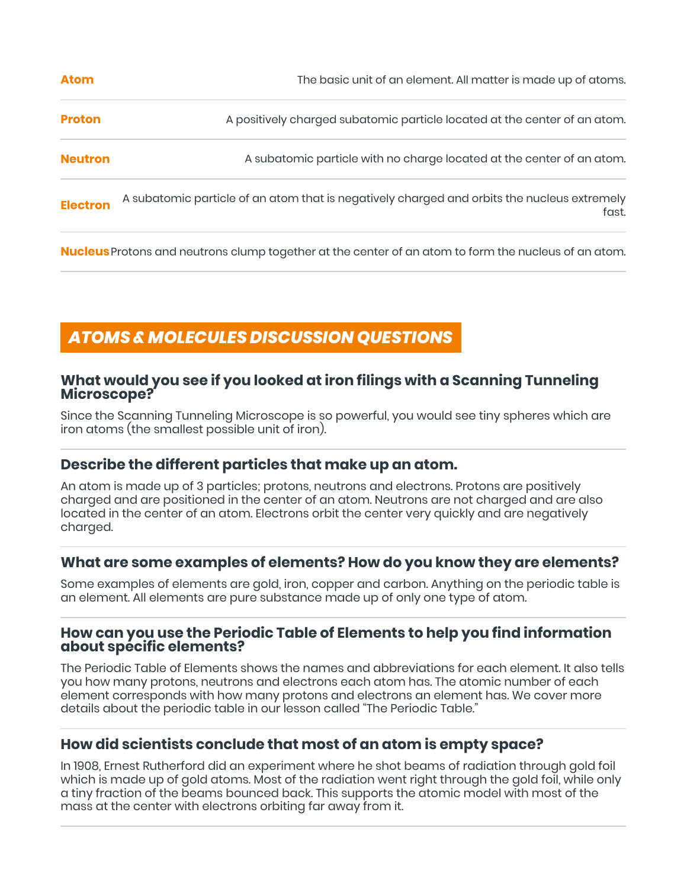| The basic unit of an element. All matter is made up of atoms.                                        |
|------------------------------------------------------------------------------------------------------|
| A positively charged subatomic particle located at the center of an atom.                            |
| A subatomic particle with no charge located at the center of an atom.                                |
| A subatomic particle of an atom that is negatively charged and orbits the nucleus extremely<br>fast. |
|                                                                                                      |

**Nucleus**Protons and neutrons clump together at the center of an atom to form the nucleus of an atom.

## *ATOMS & MOLECULES DISCUSSION QUESTIONS*

#### **What would you see if you looked at iron filings with a Scanning Tunneling Microscope?**

Since the Scanning Tunneling Microscope is so powerful, you would see tiny spheres which are iron atoms (the smallest possible unit of iron).

#### **Describe the different particles that make up an atom.**

An atom is made up of 3 particles; protons, neutrons and electrons. Protons are positively charged and are positioned in the center of an atom. Neutrons are not charged and are also located in the center of an atom. Electrons orbit the center very quickly and are negatively charged.

#### **What are some examples of elements? How do you know they are elements?**

Some examples of elements are gold, iron, copper and carbon. Anything on the periodic table is an element. All elements are pure substance made up of only one type of atom.

#### **How can you use the Periodic Table of Elements to help you find information about specific elements?**

The Periodic Table of Elements shows the names and abbreviations for each element. It also tells you how many protons, neutrons and electrons each atom has. The atomic number of each element corresponds with how many protons and electrons an element has. We cover more details about the periodic table in our lesson called "The Periodic Table."

#### **How did scientists conclude that most of an atom is empty space?**

In 1908, Ernest Rutherford did an experiment where he shot beams of radiation through gold foil which is made up of gold atoms. Most of the radiation went right through the gold foil, while only a tiny fraction of the beams bounced back. This supports the atomic model with most of the mass at the center with electrons orbiting far away from it.